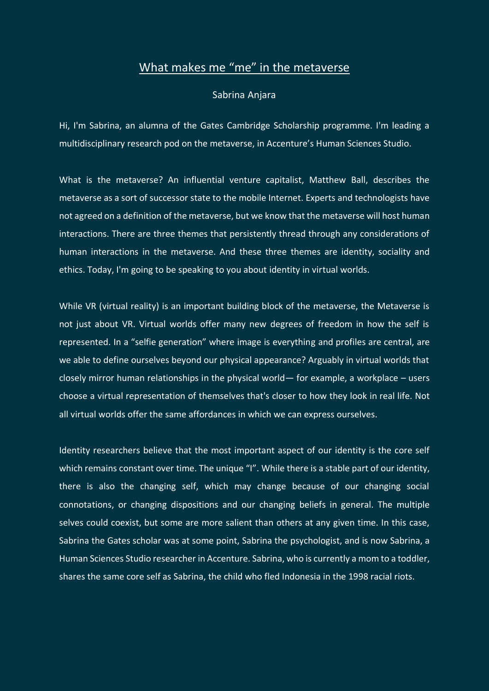## What makes me "me" in the metaverse

## Sabrina Anjara

Hi, I'm Sabrina, an alumna of the Gates Cambridge Scholarship programme. I'm leading a multidisciplinary research pod on the metaverse, in Accenture's Human Sciences Studio.

What is the metaverse? An influential venture capitalist, Matthew Ball, describes the metaverse as a sort of successor state to the mobile Internet. Experts and technologists have not agreed on a definition of the metaverse, but we know that the metaverse will host human interactions. There are three themes that persistently thread through any considerations of human interactions in the metaverse. And these three themes are identity, sociality and ethics. Today, I'm going to be speaking to you about identity in virtual worlds.

While VR (virtual reality) is an important building block of the metaverse, the Metaverse is not just about VR. Virtual worlds offer many new degrees of freedom in how the self is represented. In a "selfie generation" where image is everything and profiles are central, are we able to define ourselves beyond our physical appearance? Arguably in virtual worlds that closely mirror human relationships in the physical world— for example, a workplace – users choose a virtual representation of themselves that's closer to how they look in real life. Not all virtual worlds offer the same affordances in which we can express ourselves.

Identity researchers believe that the most important aspect of our identity is the core self which remains constant over time. The unique "I". While there is a stable part of our identity, there is also the changing self, which may change because of our changing social connotations, or changing dispositions and our changing beliefs in general. The multiple selves could coexist, but some are more salient than others at any given time. In this case, Sabrina the Gates scholar was at some point, Sabrina the psychologist, and is now Sabrina, a Human Sciences Studio researcher in Accenture. Sabrina, who is currently a mom to a toddler, shares the same core self as Sabrina, the child who fled Indonesia in the 1998 racial riots.